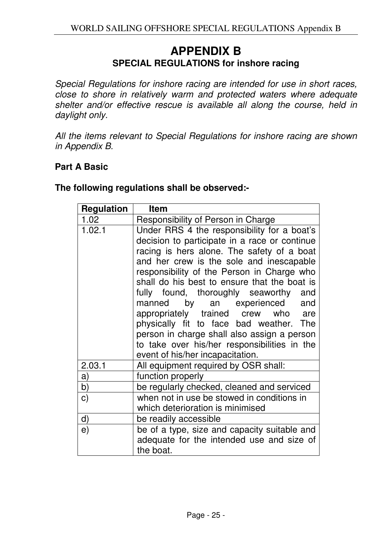## **APPENDIX B SPECIAL REGULATIONS for inshore racing**

Special Regulations for inshore racing are intended for use in short races, close to shore in relatively warm and protected waters where adequate shelter and/or effective rescue is available all along the course, held in daylight only.

All the items relevant to Special Regulations for inshore racing are shown in Appendix B.

## **Part A Basic**

| <b>Regulation</b> | <b>Item</b>                                                                                                                                                                                                                                                                                                                                                                                                                                                                                                                                                                       |
|-------------------|-----------------------------------------------------------------------------------------------------------------------------------------------------------------------------------------------------------------------------------------------------------------------------------------------------------------------------------------------------------------------------------------------------------------------------------------------------------------------------------------------------------------------------------------------------------------------------------|
| 1.02 <sub>1</sub> | Responsibility of Person in Charge                                                                                                                                                                                                                                                                                                                                                                                                                                                                                                                                                |
| 1.02.1            | Under RRS 4 the responsibility for a boat's<br>decision to participate in a race or continue<br>racing is hers alone. The safety of a boat<br>and her crew is the sole and inescapable<br>responsibility of the Person in Charge who<br>shall do his best to ensure that the boat is<br>fully found, thoroughly seaworthy and<br>manned by an experienced and<br>appropriately trained crew who are<br>physically fit to face bad weather. The<br>person in charge shall also assign a person<br>to take over his/her responsibilities in the<br>event of his/her incapacitation. |
| 2.03.1            | All equipment required by OSR shall:                                                                                                                                                                                                                                                                                                                                                                                                                                                                                                                                              |
| a)                | function properly                                                                                                                                                                                                                                                                                                                                                                                                                                                                                                                                                                 |
| b)                | be regularly checked, cleaned and serviced                                                                                                                                                                                                                                                                                                                                                                                                                                                                                                                                        |
| $\mathbf{C}$      | when not in use be stowed in conditions in<br>which deterioration is minimised                                                                                                                                                                                                                                                                                                                                                                                                                                                                                                    |
| d)                | be readily accessible                                                                                                                                                                                                                                                                                                                                                                                                                                                                                                                                                             |
| e)                | be of a type, size and capacity suitable and<br>adequate for the intended use and size of<br>the boat.                                                                                                                                                                                                                                                                                                                                                                                                                                                                            |

**The following regulations shall be observed:-**